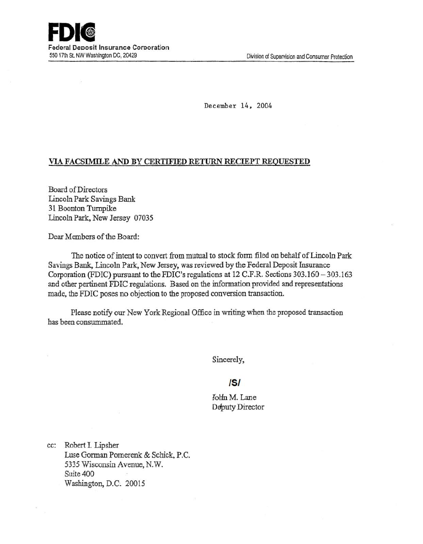December 14, 2004

## VIA FACSIMILE AND BY CERTIFIED RETURN RECIEPT REQUESTED

Board of Directors Lincoln Park Savings Bank 31 Boonton Turnpike Lincoln Park, New Jersey 07035

Dear Members of the Board:

The notice of intent to convert from mutual to stock form filed on behalf of Lincoln Park Savings Bank, Lincoln Park, New Jersey, was reviewed by the Federal Deposit Insurance Corporation (FDIC) pursuant to the FDIC's regulations at 12 C.F.R. Sections 303.160-303.163 and other pertinent FDIC regulations. Based on the information provided and representations made, the FDIC poses no objection to the proposed conversion transaction.

Please notify our New York Regional Office in writing when the proposed transaction bas been consummated.

Sincerely,

## /5/

John M. Lane Deputy Director

cc: Robert I. Lipsher Luse Gorman Pomerenk & Scbick, P.C. 5335 Wisconsin Avenue, N.W. Suite 400 Washington, D.C. 20015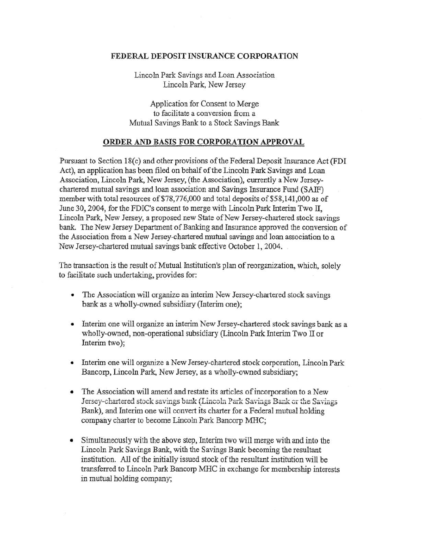## FEDERAL DEPOSIT INSURANCE CORPORATION

Lincoln Park Savings and Loan Association Lincoln Park, New Jersey

Application for Consent to Merge to facilitate a conversion from a Mutual Savings Bank to a Stock Savings Bank

## ORDER AND BASIS FOR CORPORATION APPROVAL

Pursuant to Section 18(c) and other provisions of the Federal Deposit Insurance Act (FDI Act), an application has been filed on behalf of the Lincoln Park Savings and Loan Association. Lincoln Park, New Jersey, (the Association), currently a New Jerseychartered mutual savings and loan association and Savings Insurance Fund (SAJF) member with total resources of \$78,776,000 and total deposits of \$58,141,000 as of June 30, 2004, for the FDIC's consent to merge with Lincoln Park Interim Two II, Lincoln Park, New Jersey, a proposed new State of New Jersey-chartered stock savings bank. The New Jersey Department of Banking and Insurance approved the conversion of the Association from a New Jersey-chartered mutual savings and loan association to a New Jersey-chartered mutual savings bank effective October 1, 2004.

The transaction is the result of Mutual Institution's plan of reorganization, which, solely to facilitate such undertaking, provides for:

- The Association will organize an interim New Jersey-chartered stock savings bank as a wholly-owned subsidiary (Interim one);
- Interim one will organize an interim New Jersey-chartered stock savings bank as a wholly-owned, non-operational subsidiary (Lincoln Park Interim Two II or Interim two);
- Interim one will organize a New Jersey-chartered stock corporation, Lincoln Park Bancorp, Lincoln Park, New Jersey, as a wholly-owned subsidiary;
- The Association will amend and restate its articles of incorporation to a New Jersey-chartered stock savings bank (Lincoln Park Savings Bank or the Savings Bank), and Interim one will convert its charter for a Federal mutual holding company charter to become Lincoln Park Bancorp MRC;
- Simultaneously with the above step, Interim two will merge with and into the Lincoln Park Savings Bank, with the Savings Bank becoming the resultant institution. All of the initially issued stock of the resultant institution will be transferred to Lincoln Park Bancorp MHC in exchange for membership interests in mutual holding company;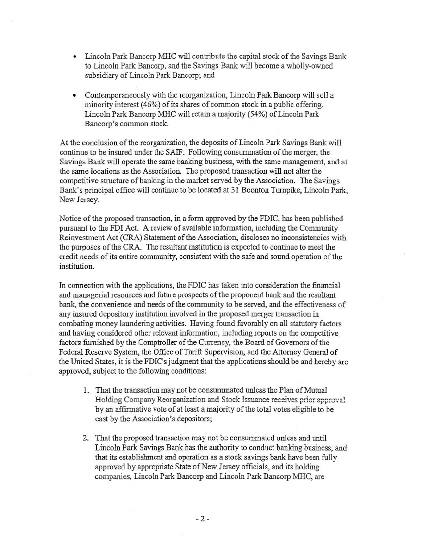- Lincoln Park Bancorp MHC will contribute the capital stock of the Savings Bank to Lincoln Park Bancorp, and the Savings Bank will become a wholly-owned subsidiary of Lincoln Park Bancorp; and
- Contemporaneously with the reorganization, Lincoln Park Bancorp will sell a minority interest (46%) of its shares of common stock in a public offering. Lincoln Park Bancorp MHC will retain a majority (54%) of Lincoln Park Bancorp's common stock.

At the conclusion of the reorganization, the deposits of Lincoln Park Savings Bank will continue to be insured under the SAIF. Following consummation of the merger, the Savings Bank will operate the same banking business, with the same management, and at the same locations as the Association. The proposed transaction will not alter the competitive structure of banking in the market served by the Association. The Savings Bank's principal office will continue to be located at 31 Boonton Turnpike, Lincoln Park, New Jersey.

Notice of the proposed transaction, in a form approved by the FDIC, has been published pursuant to the FDI Act. A review of available information, including the Community Reinvestment Act (CRA) Statement of the Association, discloses no inconsistencies with the purposes of the CRA. The resultant institution is expected to continue to meet the credit needs of its entire community, consistent with the safe and sound operation of the institution.

In connection with the applications, the IDIC has taken into consideration the financial and managerial resources and future prospects of the proponent bank and the resultant bank, the convenience and needs of the commuruty to be served, and the effectiveness of any insured depository institution involved in the proposed merger transaction in combating money laundering activities. Having found favorably on all statutory factors and having considered other relevant information, including reports on the competitive factors furnished by the Comptroller of the Currency, the Board of Governors of the Federal Reserve System, the Office of Thrift Supervision, and the Attorney General of the United States, it is the FDIC's judgment that the applications should be and hereby are approved, subject to the following conditions:

- 1. That the transaction may not be consummated unless the Plan of Mutual Holding Company Reorganization and Stock Issuance receives prior approval by an affirmative vote of at least a majority of the total votes eligible to be cast by the Association's depositors;
- 2. That the proposed transaction may not be consummated unless and until Lincoln Park Savings Bank has the authority to conduct banking business, and that its establishment and operation as a stock savings bank have been fully approved by appropriate State of New Jersey officials, and its holding companies, Lincoln Park Bancorp and Lincoln Park Bancorp NfHC, are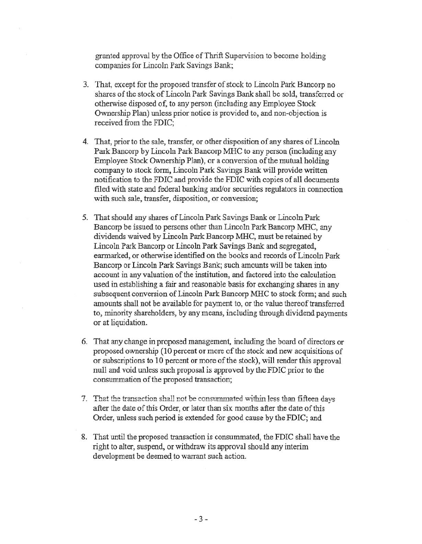granted approval by the Office of Thrift Supervision to become holding companies for Lincoln Park Savings Bank;

- 3. That, except for the proposed transfer of stock to Lincoln Park Bancorp no shares of the stock of Lincoln Park Savings Bank shall be sold, transferred or otherwise disposed of, to any person (including any Employee Stock Ownership Plan) unless prior notice is provided to, and non-objection is received from the FDIC;
- 4. That, prior to the sale, transfer, or other disposition of any shares of Lincoln Park Bancorp by Lincoln Park Bancorp MHC to any person (including any Employee Stock Ownership Plan), or a conversion of the mutual holding company to stock form, Lincoln Park Savings Bank will provide written notification to the FDIC and provide the FDIC with copies of all documents filed with state and federal banking and/or securities regulators in connection with such sale, transfer, disposition, or conversion;
- 5. That should any shares of Lincoln Park Savings Bank or Lincoln Park Bancorp be issued to persons other than Lincoln Park Bancorp MHC, any dividends waived by Lincoln Park Bancorp MHC, must be retained by Lincoln Park Bancorp or Lincoln Park Savings Bank and segregated, earmarked, or otherwise identified on the books and records of Lincoln Park Bancorp or Lincoln Park Savings Bank; such amounts will be taken into account in any valuation of the institution, and factored into the calculation used in establishing a fair and reasonable basis for exchanging shares in any subsequent conversion of Lincoln Park Bancorp MHC to stock form; and such amounts shall not be available for payment to, or the value thereof transferred to, minonty shareholders, by any means, including through dividend payments or at liquidation.
- 6. That any change in proposed management, including the board of directors or proposed ownership (10 percent or more of the stock and new acquisitions of or subscriptions to 10 percent or more of the stock), will render this approval null and void unless such proposal is approved by the FDIC prior to the conswnmation of the proposed transaction;
- **7.** That the transaction shall not be consummated within less than fifteen days after the date of this Order, or later than six months after the date of this Order, unless such period is extended for good cause by the FDIC; and
- 8. That until the proposed transaction is consummated, the FDIC shall have the right to alter, suspend, or withdraw its approval should any interim development be deemed to warrant such action.